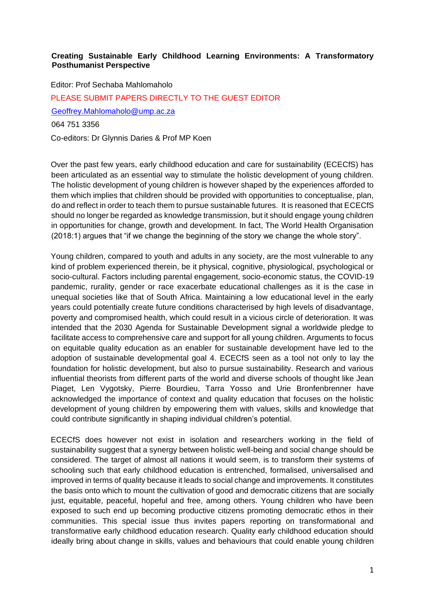## **Creating Sustainable Early Childhood Learning Environments: A Transformatory Posthumanist Perspective**

Editor: Prof Sechaba Mahlomaholo PLEASE SUBMIT PAPERS DIRECTLY TO THE GUEST EDITOR [Geoffrey.Mahlomaholo@ump.ac.za](mailto:Geoffrey.Mahlomaholo@ump.ac.za) 064 751 3356

Co-editors: Dr Glynnis Daries & Prof MP Koen

Over the past few years, early childhood education and care for sustainability (ECECfS) has been articulated as an essential way to stimulate the holistic development of young children. The holistic development of young children is however shaped by the experiences afforded to them which implies that children should be provided with opportunities to conceptualise, plan, do and reflect in order to teach them to pursue sustainable futures. It is reasoned that ECECfS should no longer be regarded as knowledge transmission, but it should engage young children in opportunities for change, growth and development. In fact, The World Health Organisation (2018:1) argues that "if we change the beginning of the story we change the whole story".

Young children, compared to youth and adults in any society, are the most vulnerable to any kind of problem experienced therein, be it physical, cognitive, physiological, psychological or socio-cultural. Factors including parental engagement, socio-economic status, the COVID-19 pandemic, rurality, gender or race exacerbate educational challenges as it is the case in unequal societies like that of South Africa. Maintaining a low educational level in the early years could potentially create future conditions characterised by high levels of disadvantage, poverty and compromised health, which could result in a vicious circle of deterioration. It was intended that the 2030 Agenda for Sustainable Development signal a worldwide pledge to facilitate access to comprehensive care and support for all young children. Arguments to focus on equitable quality education as an enabler for sustainable development have led to the adoption of sustainable developmental goal 4. ECECfS seen as a tool not only to lay the foundation for holistic development, but also to pursue sustainability. Research and various influential theorists from different parts of the world and diverse schools of thought like Jean Piaget, Len Vygotsky, Pierre Bourdieu, Tarra Yosso and Urie Bronfenbrenner have acknowledged the importance of context and quality education that focuses on the holistic development of young children by empowering them with values, skills and knowledge that could contribute significantly in shaping individual children's potential.

ECECfS does however not exist in isolation and researchers working in the field of sustainability suggest that a synergy between holistic well-being and social change should be considered. The target of almost all nations it would seem, is to transform their systems of schooling such that early childhood education is entrenched, formalised, universalised and improved in terms of quality because it leads to social change and improvements. It constitutes the basis onto which to mount the cultivation of good and democratic citizens that are socially just, equitable, peaceful, hopeful and free, among others. Young children who have been exposed to such end up becoming productive citizens promoting democratic ethos in their communities. This special issue thus invites papers reporting on transformational and transformative early childhood education research. Quality early childhood education should ideally bring about change in skills, values and behaviours that could enable young children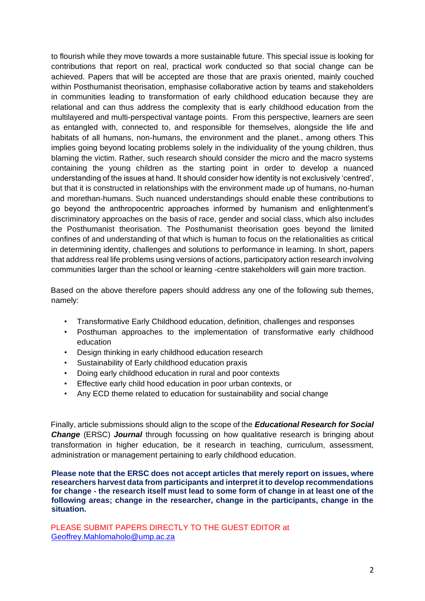to flourish while they move towards a more sustainable future. This special issue is looking for contributions that report on real, practical work conducted so that social change can be achieved. Papers that will be accepted are those that are praxis oriented, mainly couched within Posthumanist theorisation, emphasise collaborative action by teams and stakeholders in communities leading to transformation of early childhood education because they are relational and can thus address the complexity that is early childhood education from the multilayered and multi-perspectival vantage points. From this perspective, learners are seen as entangled with, connected to, and responsible for themselves, alongside the life and habitats of all humans, non-humans, the environment and the planet., among others This implies going beyond locating problems solely in the individuality of the young children, thus blaming the victim. Rather, such research should consider the micro and the macro systems containing the young children as the starting point in order to develop a nuanced understanding of the issues at hand. It should consider how identity is not exclusively 'centred', but that it is constructed in relationships with the environment made up of humans, no-human and morethan-humans. Such nuanced understandings should enable these contributions to go beyond the anthropocentric approaches informed by humanism and enlightenment's discriminatory approaches on the basis of race, gender and social class, which also includes the Posthumanist theorisation. The Posthumanist theorisation goes beyond the limited confines of and understanding of that which is human to focus on the relationalities as critical in determining identity, challenges and solutions to performance in learning. In short, papers that address real life problems using versions of actions, participatory action research involving communities larger than the school or learning -centre stakeholders will gain more traction.

Based on the above therefore papers should address any one of the following sub themes, namely:

- Transformative Early Childhood education, definition, challenges and responses
- Posthuman approaches to the implementation of transformative early childhood education
- Design thinking in early childhood education research
- Sustainability of Early childhood education praxis
- Doing early childhood education in rural and poor contexts
- Effective early child hood education in poor urban contexts, or
- Any ECD theme related to education for sustainability and social change

Finally, article submissions should align to the scope of the *Educational Research for Social Change* (ERSC) *Journal* through focussing on how qualitative research is bringing about transformation in higher education, be it research in teaching, curriculum, assessment, administration or management pertaining to early childhood education.

**Please note that the ERSC does not accept articles that merely report on issues, where researchers harvest data from participants and interpret it to develop recommendations for change - the research itself must lead to some form of change in at least one of the following areas; change in the researcher, change in the participants, change in the situation.** 

PLEASE SUBMIT PAPERS DIRECTLY TO THE GUEST EDITOR at [Geoffrey.Mahlomaholo@ump.ac.za](mailto:Geoffrey.Mahlomaholo@ump.ac.za)